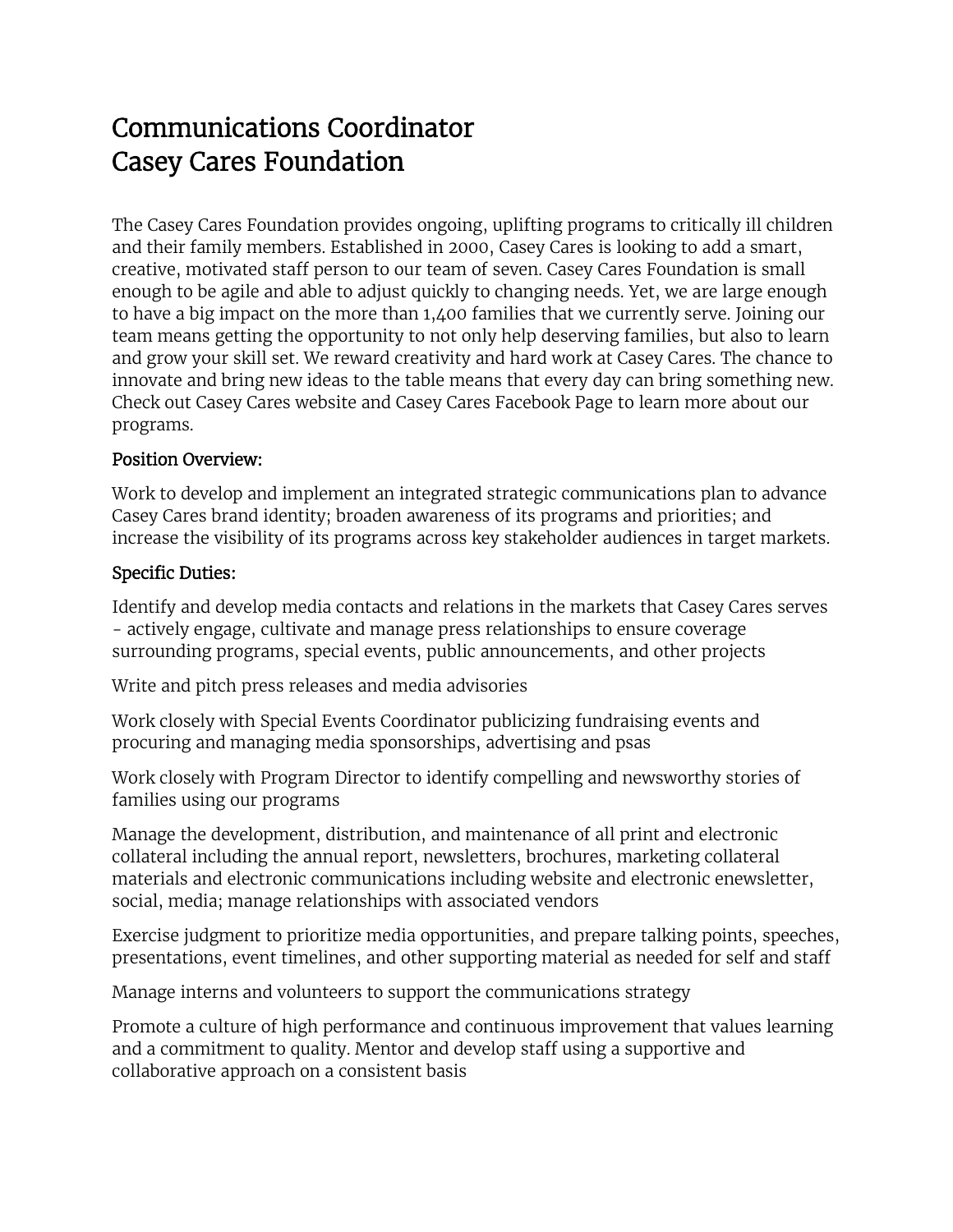# Communications Coordinator Casey Cares Foundation

The Casey Cares Foundation provides ongoing, uplifting programs to critically ill children and their family members. Established in 2000, Casey Cares is looking to add a smart, creative, motivated staff person to our team of seven. Casey Cares Foundation is small enough to be agile and able to adjust quickly to changing needs. Yet, we are large enough to have a big impact on the more than 1,400 families that we currently serve. Joining our team means getting the opportunity to not only help deserving families, but also to learn and grow your skill set. We reward creativity and hard work at Casey Cares. The chance to innovate and bring new ideas to the table means that every day can bring something new. Check out Casey Cares website and Casey Cares Facebook Page to learn more about our programs.

#### Position Overview:

Work to develop and implement an integrated strategic communications plan to advance Casey Cares brand identity; broaden awareness of its programs and priorities; and increase the visibility of its programs across key stakeholder audiences in target markets.

#### Specific Duties:

Identify and develop media contacts and relations in the markets that Casey Cares serves - actively engage, cultivate and manage press relationships to ensure coverage surrounding programs, special events, public announcements, and other projects

Write and pitch press releases and media advisories

Work closely with Special Events Coordinator publicizing fundraising events and procuring and managing media sponsorships, advertising and psas

Work closely with Program Director to identify compelling and newsworthy stories of families using our programs

Manage the development, distribution, and maintenance of all print and electronic collateral including the annual report, newsletters, brochures, marketing collateral materials and electronic communications including website and electronic enewsletter, social, media; manage relationships with associated vendors

Exercise judgment to prioritize media opportunities, and prepare talking points, speeches, presentations, event timelines, and other supporting material as needed for self and staff

Manage interns and volunteers to support the communications strategy

Promote a culture of high performance and continuous improvement that values learning and a commitment to quality. Mentor and develop staff using a supportive and collaborative approach on a consistent basis